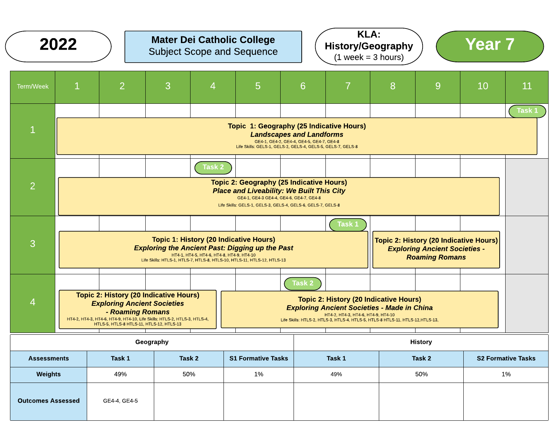|                          | <b>KLA:</b><br><b>Mater Dei Catholic College</b><br>2022<br><b>Year 7</b><br><b>History/Geography</b><br><b>Subject Scope and Sequence</b><br>$(1 week = 3 hours)$                                                                                                                                                                                                                                                                                                       |                                                                                                                                                                                                                                |                                                                                                                                                                                                                                 |   |        |                                                                                                         |    |    |  |
|--------------------------|--------------------------------------------------------------------------------------------------------------------------------------------------------------------------------------------------------------------------------------------------------------------------------------------------------------------------------------------------------------------------------------------------------------------------------------------------------------------------|--------------------------------------------------------------------------------------------------------------------------------------------------------------------------------------------------------------------------------|---------------------------------------------------------------------------------------------------------------------------------------------------------------------------------------------------------------------------------|---|--------|---------------------------------------------------------------------------------------------------------|----|----|--|
| Term/Week                | $\mathbf 1$                                                                                                                                                                                                                                                                                                                                                                                                                                                              | $\overline{2}$                                                                                                                                                                                                                 | 3<br>4                                                                                                                                                                                                                          | 5 | 7<br>6 | 8<br>9                                                                                                  | 10 | 11 |  |
| $\mathbf{1}$             | Task 1<br>Topic 1: Geography (25 Indicative Hours)<br><b>Landscapes and Landforms</b><br>GE4-1, GE4-2, GE4-4, GE4-5, GE4-7, GE4-8<br>Life Skills: GELS-1, GELS-2, GELS-4, GELS-5, GELS-7, GELS-8                                                                                                                                                                                                                                                                         |                                                                                                                                                                                                                                |                                                                                                                                                                                                                                 |   |        |                                                                                                         |    |    |  |
| $\overline{2}$           |                                                                                                                                                                                                                                                                                                                                                                                                                                                                          | <b>Task 2</b><br><b>Topic 2: Geography (25 Indicative Hours)</b><br><b>Place and Liveability: We Built This City</b><br>GE4-1, GE4-3 GE4-4, GE4-6, GE4-7, GE4-8<br>Life Skills: GELS-1, GELS-3, GELS-4, GELS-6, GELS-7, GELS-8 |                                                                                                                                                                                                                                 |   |        |                                                                                                         |    |    |  |
| 3                        |                                                                                                                                                                                                                                                                                                                                                                                                                                                                          |                                                                                                                                                                                                                                | <b>Topic 1: History (20 Indicative Hours)</b><br><b>Exploring the Ancient Past: Digging up the Past</b><br>HT4-1, HT4-5, HT4-6, HT4-8, HT4-9, HT4-10<br>Life Skills: HTLS-1, HTLS-7, HTLS-8, HTLS-10, HTLS-11, HTLS-12, HTLS-13 |   | Task 1 | Topic 2: History (20 Indicative Hours)<br><b>Exploring Ancient Societies -</b><br><b>Roaming Romans</b> |    |    |  |
| $\overline{4}$           | Task 2<br><b>Topic 2: History (20 Indicative Hours)</b><br><b>Topic 2: History (20 Indicative Hours)</b><br><b>Exploring Ancient Societies</b><br><b>Exploring Ancient Societies - Made in China</b><br>- Roaming Romans<br>HT4-2, HT4-3, HT4-6, HT4-9, HT4-10<br>HT4-2, HT4-3, HT4-6, HT4-9, HT4-10, Life Skills: HTLS-2, HTLS-3, HTLS-4,<br>Life Skills: HTLS-2, HTLS-3, HTLS-4, HTLS-5, HTLS-8 HTLS-11, HTLS-12, HTLS-13,<br>HTLS-5, HTLS-8 HTLS-11, HTLS-12, HTLS-13 |                                                                                                                                                                                                                                |                                                                                                                                                                                                                                 |   |        |                                                                                                         |    |    |  |
|                          | Geography<br><b>History</b>                                                                                                                                                                                                                                                                                                                                                                                                                                              |                                                                                                                                                                                                                                |                                                                                                                                                                                                                                 |   |        |                                                                                                         |    |    |  |
| <b>Assessments</b>       | Task 2<br><b>S1 Formative Tasks</b><br>Task 1<br>Task 2<br>Task 1<br><b>S2 Formative Tasks</b>                                                                                                                                                                                                                                                                                                                                                                           |                                                                                                                                                                                                                                |                                                                                                                                                                                                                                 |   |        |                                                                                                         |    |    |  |
| <b>Weights</b>           | 1%<br>50%<br>1%<br>49%<br>50%<br>49%                                                                                                                                                                                                                                                                                                                                                                                                                                     |                                                                                                                                                                                                                                |                                                                                                                                                                                                                                 |   |        |                                                                                                         |    |    |  |
| <b>Outcomes Assessed</b> | GE4-4, GE4-5                                                                                                                                                                                                                                                                                                                                                                                                                                                             |                                                                                                                                                                                                                                |                                                                                                                                                                                                                                 |   |        |                                                                                                         |    |    |  |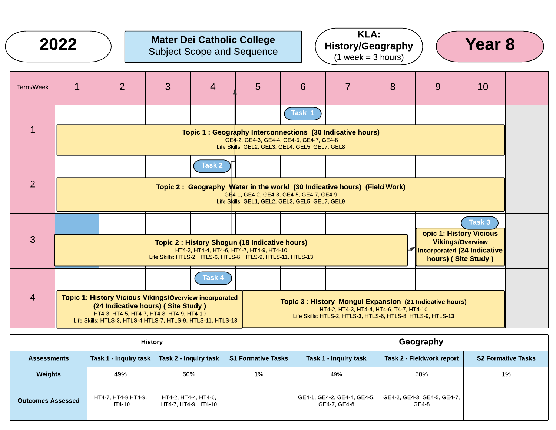|                | 2022         |                |                                                                                                                                                                                                                  | <b>Mater Dei Catholic College</b><br><b>Subject Scope and Sequence</b>                                                                                       |   |                                                                                                       | <b>KLA:</b><br>$(1 week = 3 hours)$ | <b>History/Geography</b>                                                                                                                                             |   | <b>Year 8</b>                                                                                                                            |  |
|----------------|--------------|----------------|------------------------------------------------------------------------------------------------------------------------------------------------------------------------------------------------------------------|--------------------------------------------------------------------------------------------------------------------------------------------------------------|---|-------------------------------------------------------------------------------------------------------|-------------------------------------|----------------------------------------------------------------------------------------------------------------------------------------------------------------------|---|------------------------------------------------------------------------------------------------------------------------------------------|--|
| Term/Week      | $\mathbf{1}$ | $\overline{2}$ | 3                                                                                                                                                                                                                | $\overline{4}$                                                                                                                                               | 5 | 6                                                                                                     | $\overline{7}$                      | 8                                                                                                                                                                    | 9 | 10                                                                                                                                       |  |
| $\mathbf{1}$   |              |                |                                                                                                                                                                                                                  | Topic 1 : Geography Interconnections (30 Indicative hours)                                                                                                   |   | Task 1<br>GE4-2, GE4-3, GE4-4, GE4-5, GE4-7, GE4-8<br>Life Skills: GEL2, GEL3, GEL4, GEL5, GEL7, GEL8 |                                     |                                                                                                                                                                      |   |                                                                                                                                          |  |
| $\overline{2}$ |              |                |                                                                                                                                                                                                                  | <b>Task 2</b><br>Topic 2: Geography Water in the world (30 Indicative hours) (Field Work)                                                                    |   | GE4-1, GE4-2, GE4-3, GE4-5, GE4-7, GE4-9<br>Life Skills: GEL1, GEL2, GEL3, GEL5, GEL7, GEL9           |                                     |                                                                                                                                                                      |   |                                                                                                                                          |  |
| 3              |              |                |                                                                                                                                                                                                                  | Topic 2 : History Shogun (18 Indicative hours)<br>HT4-2, HT4-4, HT4-6, HT4-7, HT4-9, HT4-10<br>Life Skills: HTLS-2, HTLS-6, HTLS-8, HTLS-9, HTLS-11, HTLS-13 |   |                                                                                                       |                                     |                                                                                                                                                                      |   | Task 3<br>opic 1: History Vicious<br><b>Vikings/Overview</b><br>$\blacktriangleright$ incorporated (24 Indicative<br>hours) (Site Study) |  |
| $\overline{4}$ |              |                | <b>Topic 1: History Vicious Vikings/Overview incorporated</b><br>(24 Indicative hours) (Site Study)<br>HT4-3, HT4-5, HT4-7, HT4-8, HT4-9, HT4-10<br>Life Skills: HTLS-3, HTLS-4 HTLS-7, HTLS-9, HTLS-11, HTLS-13 | <b>Task 4</b>                                                                                                                                                |   |                                                                                                       |                                     | Topic 3 : History Mongul Expansion (21 Indicative hours)<br>HT4-2, HT4-3, HT4-4, HT4-6, T4-7, HT4-10<br>Life Skills: HTLS-2, HTLS-3, HTLS-6, HTLS-8, HTLS-9, HTLS-13 |   |                                                                                                                                          |  |

|                          | <b>History</b>                    |                                              | Geography                 |                                             |                                      |                           |
|--------------------------|-----------------------------------|----------------------------------------------|---------------------------|---------------------------------------------|--------------------------------------|---------------------------|
| <b>Assessments</b>       | Task 1 - Inquiry task $\parallel$ | Task 2 - Inquiry task                        | <b>S1 Formative Tasks</b> | Task 1 - Inquiry task                       | Task 2 - Fieldwork report            | <b>S2 Formative Tasks</b> |
| Weights                  | 49%                               | 50%                                          | 1%                        | 49%                                         | 50%                                  | 1%                        |
| <b>Outcomes Assessed</b> | HT4-7, HT4-8 HT4-9,<br>HT4-10     | HT4-2, HT4-4, HT4-6,<br>HT4-7, HT4-9, HT4-10 |                           | GE4-1, GE4-2, GE4-4, GE4-5,<br>GE4-7, GE4-8 | GE4-2, GE4-3, GE4-5, GE4-7,<br>GE4-8 |                           |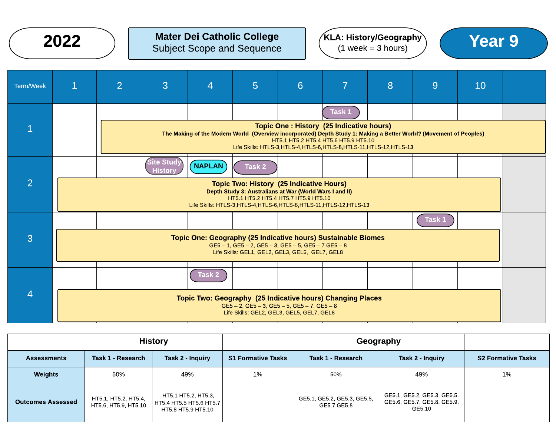# $2022$  ) Mater Dei Catholic College  $(1 \text{ week} = 3 \text{ hours})$  (Year 9) Subject Scope and Sequence





| <b>Term/Week</b> | $\mathbf{1}$                                                                                                                                                                            | $\overline{2}$ | 3                                   | 4             | $5\phantom{1}$                                                                                                                                                                                                               | 6                                                                                | 7      | 8                                                                                                                                                                                            | 9      | 10 |  |
|------------------|-----------------------------------------------------------------------------------------------------------------------------------------------------------------------------------------|----------------|-------------------------------------|---------------|------------------------------------------------------------------------------------------------------------------------------------------------------------------------------------------------------------------------------|----------------------------------------------------------------------------------|--------|----------------------------------------------------------------------------------------------------------------------------------------------------------------------------------------------|--------|----|--|
|                  |                                                                                                                                                                                         |                |                                     |               |                                                                                                                                                                                                                              |                                                                                  | Task 1 |                                                                                                                                                                                              |        |    |  |
|                  |                                                                                                                                                                                         |                |                                     |               |                                                                                                                                                                                                                              | Topic One: History (25 Indicative hours)<br>HT5.1 HT5.2 HT5.4 HT5.6 HT5.9 HT5.10 |        | The Making of the Modern World (Overview incorporated) Depth Study 1: Making a Better World? (Movement of Peoples)<br>Life Skills: HTLS-3, HTLS-4, HTLS-6, HTLS-8, HTLS-11, HTLS-12, HTLS-13 |        |    |  |
|                  |                                                                                                                                                                                         |                | <b>Site Study</b><br><b>History</b> | <b>NAPLAN</b> | Task 2                                                                                                                                                                                                                       |                                                                                  |        |                                                                                                                                                                                              |        |    |  |
| $\overline{2}$   |                                                                                                                                                                                         |                |                                     |               | <b>Topic Two: History (25 Indicative Hours)</b><br>Depth Study 3: Australians at War (World Wars I and II)<br>HT5.1 HT5.2 HT5.4 HT5.7 HT5.9 HT5.10<br>Life Skills: HTLS-3, HTLS-4, HTLS-6, HTLS-8, HTLS-11, HTLS-12, HTLS-13 |                                                                                  |        |                                                                                                                                                                                              |        |    |  |
|                  |                                                                                                                                                                                         |                |                                     |               |                                                                                                                                                                                                                              |                                                                                  |        |                                                                                                                                                                                              | Task 1 |    |  |
| 3                | Topic One: Geography (25 Indicative hours) Sustainable Biomes<br>$GE5 - 1$ , $GE5 - 2$ , $GE5 - 3$ , $GE5 - 5$ , $GE5 - 7$ $GE5 - 8$<br>Life Skills: GEL1, GEL2, GEL3, GEL5, GEL7, GEL8 |                |                                     |               |                                                                                                                                                                                                                              |                                                                                  |        |                                                                                                                                                                                              |        |    |  |
|                  |                                                                                                                                                                                         |                |                                     | <b>Task 2</b> |                                                                                                                                                                                                                              |                                                                                  |        |                                                                                                                                                                                              |        |    |  |
| Ζ                | <b>Topic Two: Geography (25 Indicative hours) Changing Places</b><br>$GE5 - 2$ , $GE5 - 3$ , $GE5 - 5$ , $GE5 - 7$ , $GE5 - 8$<br>Life Skills: GEL2, GEL3, GEL5, GEL7, GEL8             |                |                                     |               |                                                                                                                                                                                                                              |                                                                                  |        |                                                                                                                                                                                              |        |    |  |

| <b>History</b>           |                                              |                                                                      |                           | Geography                                  |                                                                      |                           |
|--------------------------|----------------------------------------------|----------------------------------------------------------------------|---------------------------|--------------------------------------------|----------------------------------------------------------------------|---------------------------|
| <b>Assessments</b>       | Task 1 - Research                            | Task 2 - Inquiry                                                     | <b>S1 Formative Tasks</b> | Task 1 - Research                          | Task 2 - Inquiry                                                     | <b>S2 Formative Tasks</b> |
| Weights                  | 50%                                          | 49%                                                                  | 1%                        | 50%                                        | 49%                                                                  | 1%                        |
| <b>Outcomes Assessed</b> | HT5.1, HT5.2, HT5.4,<br>HT5.6, HT5.9, HT5.10 | HT5.1 HT5.2, HT5.3,<br>HT5.4 HT5.5 HT5.6 HT5.7<br>HT5.8 HT5.9 HT5.10 |                           | GE5.1, GE5.2, GE5.3, GE5.5,<br>GE5.7 GE5.8 | GE5.1, GE5.2, GE5.3, GE5.5.<br>GE5.6, GE5.7, GE5.8, GE5.9,<br>GE5.10 |                           |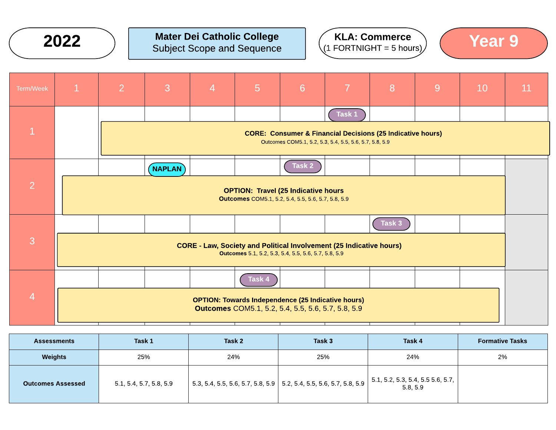

# $2022$  ) Mater Dei Catholic College  $(1.50R)$  (The Subject Scope and Sequence ) (1.50RTNIGHT = 5 hours) Subject Scope and Sequence





| Term/Week      | $\mathbf{1}$ | $\overline{2}$ | 3                                                                                                                                  | $\overline{4}$ | $\overline{5}$                                                                                                  | 6      | $\overline{7}$ | 8      | 9 | 10 | 11 |
|----------------|--------------|----------------|------------------------------------------------------------------------------------------------------------------------------------|----------------|-----------------------------------------------------------------------------------------------------------------|--------|----------------|--------|---|----|----|
|                |              |                |                                                                                                                                    |                |                                                                                                                 |        | Task 1         |        |   |    |    |
|                |              |                | <b>CORE: Consumer &amp; Financial Decisions (25 Indicative hours)</b><br>Outcomes COM5.1, 5.2, 5.3, 5.4, 5.5, 5.6, 5.7, 5.8, 5.9   |                |                                                                                                                 |        |                |        |   |    |    |
|                |              |                | <b>NAPLAN</b>                                                                                                                      |                |                                                                                                                 | Task 2 |                |        |   |    |    |
| 2              |              |                | <b>OPTION: Travel (25 Indicative hours</b><br>Outcomes COM5.1, 5.2, 5.4, 5.5, 5.6, 5.7, 5.8, 5.9                                   |                |                                                                                                                 |        |                |        |   |    |    |
|                |              |                |                                                                                                                                    |                |                                                                                                                 |        |                | Task 3 |   |    |    |
| 3              |              |                | <b>CORE - Law, Society and Political Involvement (25 Indicative hours)</b><br>Outcomes 5.1, 5.2, 5.3, 5.4, 5.5, 5.6, 5.7, 5.8, 5.9 |                |                                                                                                                 |        |                |        |   |    |    |
|                |              |                |                                                                                                                                    |                | Task 4                                                                                                          |        |                |        |   |    |    |
| $\overline{4}$ |              |                |                                                                                                                                    |                | <b>OPTION: Towards Independence (25 Indicative hours)</b><br>Outcomes COM5.1, 5.2, 5.4, 5.5, 5.6, 5.7, 5.8, 5.9 |        |                |        |   |    |    |

| <b>Assessments</b>       | <b>Task 1</b>           | Task 2                                                                                      | Task 3 | Task 4                                                | <b>Formative Tasks</b> |
|--------------------------|-------------------------|---------------------------------------------------------------------------------------------|--------|-------------------------------------------------------|------------------------|
| <b>Weights</b>           | 25%                     | 24%                                                                                         | 25%    | 24%                                                   | 2%                     |
| <b>Outcomes Assessed</b> | 5.1, 5.4, 5.7, 5.8, 5.9 | $\vert$ 5.3, 5.4, 5.5, 5.6, 5.7, 5.8, 5.9 $\vert$ 5.2, 5.4, 5.5, 5.6, 5.7, 5.8, 5.9 $\vert$ |        | $\vert$ 5.1, 5.2, 5.3, 5.4, 5.5 5.6, 5.7,<br>5.8, 5.9 |                        |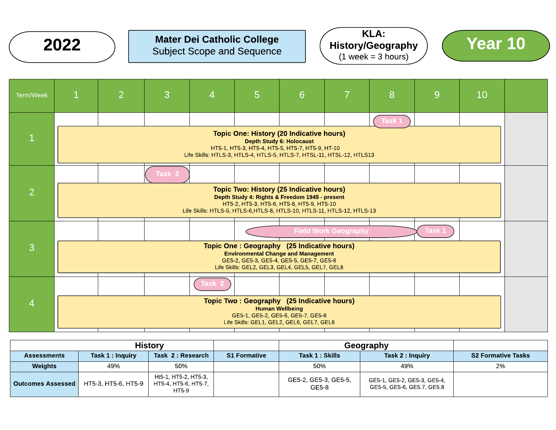

## Mater Dei Catholic College Mater Dei Catholic College<br>Subject Scope and Sequence  $\left( \begin{array}{c} \text{NEN:} \\ \text{History/Geography} \end{array} \right)$   $\left( \begin{array}{c} \text{Year 10} \\ \text{Year 21} \end{array} \right)$







|                          |                     | <b>History</b>                                        |                     | Geography                     |                                                           |                           |
|--------------------------|---------------------|-------------------------------------------------------|---------------------|-------------------------------|-----------------------------------------------------------|---------------------------|
| <b>Assessments</b>       | Task 1 : Inquiry    | Task 2 : Research                                     | <b>S1 Formative</b> | Task 1 : Skills               | Task 2 : Inquiry                                          | <b>S2 Formative Tasks</b> |
| <b>Weights</b>           | 49%                 | 50%                                                   |                     | 50%                           | 49%                                                       | 2%                        |
| <b>Outcomes Assessed</b> | HT5-3, HT5-6, HT5-9 | Ht5-1, HT5-2, HT5-3,<br>HT5-4, HT5-6, HT5-7,<br>HT5-9 |                     | GE5-2, GE5-3, GE5-5,<br>GE5-8 | GE5-1, GE5-2, GE5-3, GE5-4,<br>GE5-5, GE5-6, GE5.7, GE5.8 |                           |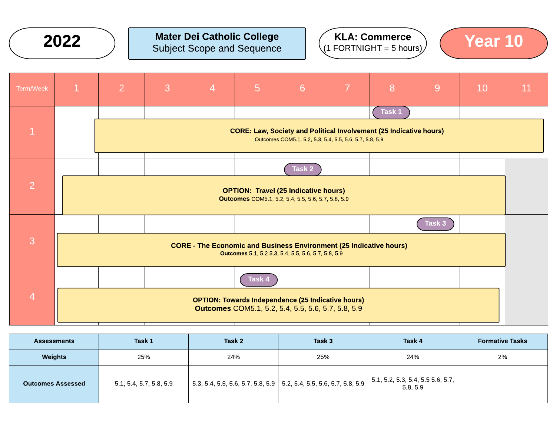

# $2022$  ) Mater Dei Catholic College  $(1.50R)$  ( $\frac{1.00R}{200R}$   $(1.50R)$   $(1.50R)$   $(1.50R)$   $(1.50R)$   $(1.50R)$   $(1.50R)$   $(1.50R)$   $(1.50R)$   $(1.50R)$   $(1.50R)$   $(1.50R)$   $(1.50R)$   $(1.50R)$   $(1.50R)$   $(1.50R)$   $(1.50R$ Subject Scope and Sequence





| Term/Week      | $\mathbf{1}$ | $\overline{2}$                                                                                                                   | 3                                                                                                                                    | $\overline{4}$ | $\overline{5}$                                                                                                  | $6\overline{6}$ | $\overline{7}$ | 8      | 9      | 10 | 11 |
|----------------|--------------|----------------------------------------------------------------------------------------------------------------------------------|--------------------------------------------------------------------------------------------------------------------------------------|----------------|-----------------------------------------------------------------------------------------------------------------|-----------------|----------------|--------|--------|----|----|
|                |              |                                                                                                                                  |                                                                                                                                      |                |                                                                                                                 |                 |                | Task 1 |        |    |    |
|                |              |                                                                                                                                  | <b>CORE: Law, Society and Political Involvement (25 Indicative hours)</b><br>Outcomes COM5.1, 5.2, 5.3, 5.4, 5.5, 5.6, 5.7, 5.8, 5.9 |                |                                                                                                                 |                 |                |        |        |    |    |
|                |              |                                                                                                                                  |                                                                                                                                      |                |                                                                                                                 | Task 2          |                |        |        |    |    |
| $\overline{2}$ |              | <b>OPTION: Travel (25 Indicative hours)</b><br>Outcomes COM5.1, 5.2, 5.4, 5.5, 5.6, 5.7, 5.8, 5.9                                |                                                                                                                                      |                |                                                                                                                 |                 |                |        |        |    |    |
|                |              |                                                                                                                                  |                                                                                                                                      |                |                                                                                                                 |                 |                |        | Task 3 |    |    |
| 3              |              | <b>CORE - The Economic and Business Environment (25 Indicative hours)</b><br>Outcomes 5.1, 5.2 5.3, 5.4, 5.5, 5.6, 5.7, 5.8, 5.9 |                                                                                                                                      |                |                                                                                                                 |                 |                |        |        |    |    |
|                |              |                                                                                                                                  |                                                                                                                                      |                | Task 4                                                                                                          |                 |                |        |        |    |    |
| $\overline{4}$ |              |                                                                                                                                  |                                                                                                                                      |                | <b>OPTION: Towards Independence (25 Indicative hours)</b><br>Outcomes COM5.1, 5.2, 5.4, 5.5, 5.6, 5.7, 5.8, 5.9 |                 |                |        |        |    |    |

| <b>Assessments</b>       | Task 1                  | Task 2                                                                                      | Task 3 | Task 4                                         | <b>Formative Tasks</b> |
|--------------------------|-------------------------|---------------------------------------------------------------------------------------------|--------|------------------------------------------------|------------------------|
| <b>Weights</b>           | 25%                     | 24%                                                                                         | 25%    | 24%                                            | 2%                     |
| <b>Outcomes Assessed</b> | 5.1, 5.4, 5.7, 5.8, 5.9 | $\vert$ 5.3, 5.4, 5.5, 5.6, 5.7, 5.8, 5.9 $\vert$ 5.2, 5.4, 5.5, 5.6, 5.7, 5.8, 5.9 $\vert$ |        | 5.1, 5.2, 5.3, 5.4, 5.5, 5.6, 5.7,<br>5.8, 5.9 |                        |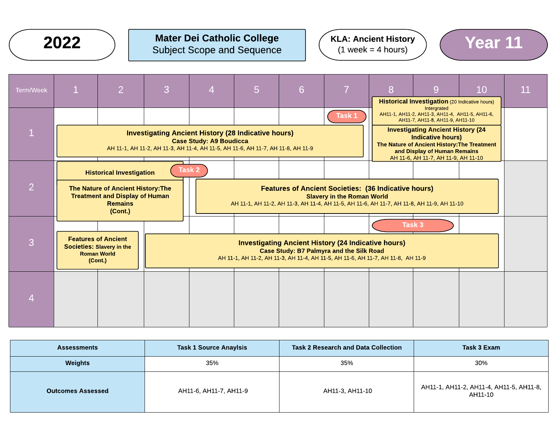

# $2022$  ) Mater Dei Catholic College  $(1 \text{ week} = 4 \text{ hours})$  (Year 11 Subject Scope and Sequence

#### KLA: Ancient History  $(1$  week = 4 hours)



| <b>Task 1 Source Anaylsis</b><br><b>Assessments</b> |                        | <b>Task 2 Research and Data Collection</b> | Task 3 Exam                                          |
|-----------------------------------------------------|------------------------|--------------------------------------------|------------------------------------------------------|
| <b>Weights</b>                                      | 35%                    | 35%                                        | 30%                                                  |
| <b>Outcomes Assessed</b>                            | AH11-6, AH11-7, AH11-9 | AH11-3, AH11-10                            | AH11-1, AH11-2, AH11-4, AH11-5, AH11-8,  <br>AH11-10 |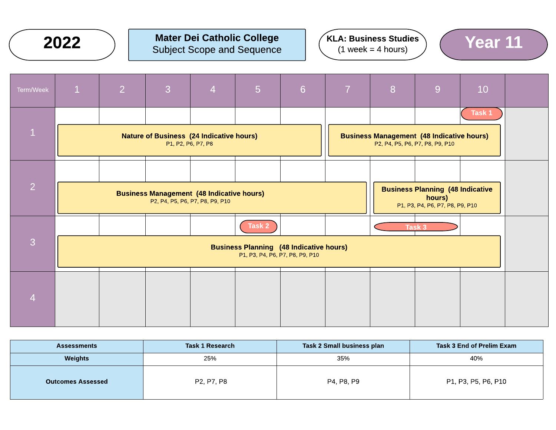

#### Mater Dei Catholic College Subject Scope and Sequence 2022 Mater Dei Catholic College  $(3 \text{ weeks} = 4 \text{ hours})$   $(4 \text{ weeks} = 4 \text{ hours})$   $(5 \text{ weeks} = 4 \text{ hours})$







| <b>Assessments</b>       | <b>Task 1 Research</b> | Task 2 Small business plan | Task 3 End of Prelim Exam |
|--------------------------|------------------------|----------------------------|---------------------------|
| Weights                  | 25%                    | 35%                        | 40%                       |
| <b>Outcomes Assessed</b> | P2, P7, P8             | P4, P8, P9                 | P1, P3, P5, P6, P10       |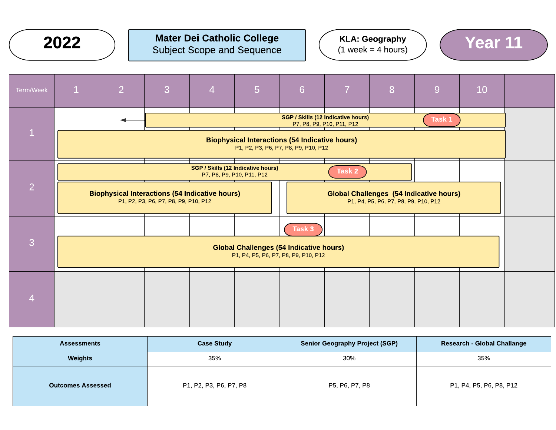

#### Mater Dei Catholic College Subject Scope and Sequence 2022  $\bigcap$  Mater Dei Catholic College  $\bigcap_{(1 \text{ week} = 4 \text{ hours})}$  (Year 11)







| <b>Assessments</b>       | <b>Case Study</b>      | <b>Senior Geography Project (SGP)</b> | <b>Research - Global Challange</b> |
|--------------------------|------------------------|---------------------------------------|------------------------------------|
| Weights                  | 35%                    | 30%                                   | 35%                                |
| <b>Outcomes Assessed</b> | P1, P2, P3, P6, P7, P8 | P5, P6, P7, P8                        | P1, P4, P5, P6, P8, P12            |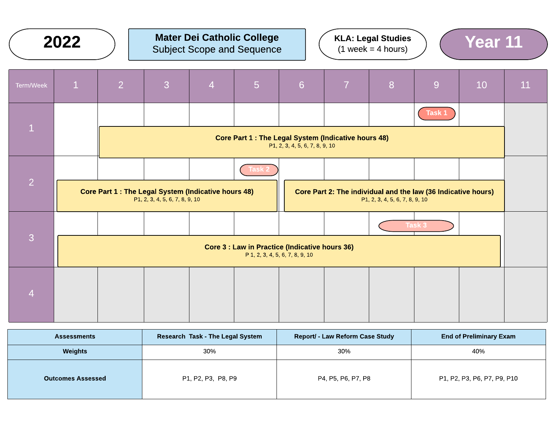|                | 2022                                                                                         |                                                                                          |                                |                | <b>Mater Dei Catholic College</b><br><b>Subject Scope and Sequence</b> |                                                                                                 |                | <b>KLA: Legal Studies</b><br>$(1 week = 4 hours)$ |        | Year 11 |    |
|----------------|----------------------------------------------------------------------------------------------|------------------------------------------------------------------------------------------|--------------------------------|----------------|------------------------------------------------------------------------|-------------------------------------------------------------------------------------------------|----------------|---------------------------------------------------|--------|---------|----|
| Term/Week      | $\mathbf{1}$                                                                                 | $\overline{2}$                                                                           | 3                              | $\overline{4}$ | 5                                                                      | $6\overline{6}$                                                                                 | $\overline{7}$ | 8                                                 | 9      | 10      | 11 |
|                |                                                                                              |                                                                                          |                                |                |                                                                        |                                                                                                 |                |                                                   | Task 1 |         |    |
| $\mathbf{1}$   | <b>Core Part 1: The Legal System (Indicative hours 48)</b><br>P1, 2, 3, 4, 5, 6, 7, 8, 9, 10 |                                                                                          |                                |                |                                                                        |                                                                                                 |                |                                                   |        |         |    |
|                |                                                                                              |                                                                                          |                                |                | Task 2                                                                 |                                                                                                 |                |                                                   |        |         |    |
| $\overline{2}$ |                                                                                              | Core Part 1 : The Legal System (Indicative hours 48)                                     | P1, 2, 3, 4, 5, 6, 7, 8, 9, 10 |                |                                                                        | Core Part 2: The individual and the law (36 Indicative hours)<br>P1, 2, 3, 4, 5, 6, 7, 8, 9, 10 |                |                                                   |        |         |    |
|                |                                                                                              |                                                                                          |                                |                |                                                                        |                                                                                                 |                |                                                   | Task 3 |         |    |
| 3              |                                                                                              | <b>Core 3 : Law in Practice (Indicative hours 36)</b><br>P 1, 2, 3, 4, 5, 6, 7, 8, 9, 10 |                                |                |                                                                        |                                                                                                 |                |                                                   |        |         |    |
|                |                                                                                              |                                                                                          |                                |                |                                                                        |                                                                                                 |                |                                                   |        |         |    |
| $\overline{4}$ |                                                                                              |                                                                                          |                                |                |                                                                        |                                                                                                 |                |                                                   |        |         |    |

| <b>Assessments</b>       | <b>Research Task - The Legal System</b> | <b>Report/ - Law Reform Case Study</b> | <b>End of Preliminary Exam</b> |
|--------------------------|-----------------------------------------|----------------------------------------|--------------------------------|
| <b>Weights</b>           | 30%                                     | 30%                                    | 40%                            |
| <b>Outcomes Assessed</b> | P1, P2, P3, P8, P9                      | P4, P5, P6, P7, P8                     | P1, P2, P3, P6, P7, P9, P10    |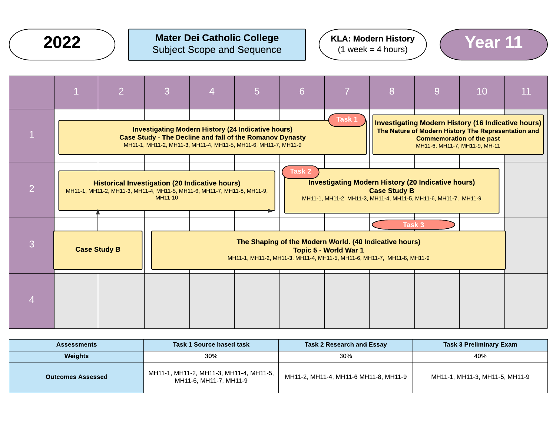

## $2022$  ) Mater Dei Catholic College  $(3.000)$  (XLA: Modern History ) (Year 11 Subject Scope and Sequence







| <b>Assessments</b>       | <b>Task 1 Source based task</b>                                   | <b>Task 2 Research and Essay</b>      | Task 3 Preliminary Exam        |  |  |
|--------------------------|-------------------------------------------------------------------|---------------------------------------|--------------------------------|--|--|
| Weights                  | 30%                                                               | 30%                                   | 40%                            |  |  |
| <b>Outcomes Assessed</b> | MH11-1, MH11-2, MH11-3, MH11-4, MH11-5,<br>MH11-6. MH11-7. MH11-9 | MH11-2, MH11-4, MH11-6 MH11-8, MH11-9 | MH11-1, MH11-3, MH11-5, MH11-9 |  |  |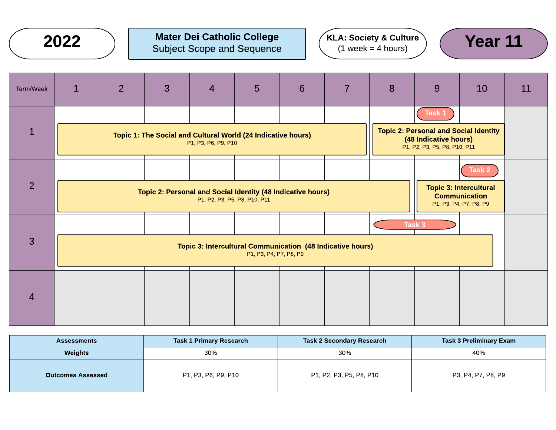

# $2022$  ) Mater Dei Catholic College  $(3.0006 \text{ m})$  (KLA: Society & Culture) (Year 11 Subject Scope and Sequence





| Term/Week      | $\mathbf{1}$                                                                                   | $\overline{2}$ | 3 | $\overline{4}$      | 5                                                                                           | 6 | 7                                                                                         | 8 | 9                                                                                                               | 10 | 11 |
|----------------|------------------------------------------------------------------------------------------------|----------------|---|---------------------|---------------------------------------------------------------------------------------------|---|-------------------------------------------------------------------------------------------|---|-----------------------------------------------------------------------------------------------------------------|----|----|
| $\mathbf{1}$   |                                                                                                |                |   | P1, P3, P6, P9, P10 | Topic 1: The Social and Cultural World (24 Indicative hours)                                |   |                                                                                           |   | Task 1<br><b>Topic 2: Personal and Social Identity</b><br>(48 Indicative hours)<br>P1, P2, P3, P5, P8, P10, P11 |    |    |
| $\overline{2}$ |                                                                                                |                |   |                     | Topic 2: Personal and Social Identity (48 Indicative hours)<br>P1, P2, P3, P5, P8, P10, P11 |   | Task 2<br><b>Topic 3: Intercultural</b><br><b>Communication</b><br>P1, P3, P4, P7, P8, P9 |   |                                                                                                                 |    |    |
| 3              | Task 3<br>Topic 3: Intercultural Communication (48 Indicative hours)<br>P1, P3, P4, P7, P8, P9 |                |   |                     |                                                                                             |   |                                                                                           |   |                                                                                                                 |    |    |
| $\overline{4}$ |                                                                                                |                |   |                     |                                                                                             |   |                                                                                           |   |                                                                                                                 |    |    |

| <b>Assessments</b>       | <b>Task 1 Primary Research</b> | <b>Task 2 Secondary Research</b> | Task 3 Preliminary Exam |
|--------------------------|--------------------------------|----------------------------------|-------------------------|
| Weights                  | 30%                            | 30%                              | 40%                     |
| <b>Outcomes Assessed</b> | P1, P3, P6, P9, P10            | P1, P2, P3, P5, P8, P10          | P3, P4, P7, P8, P9      |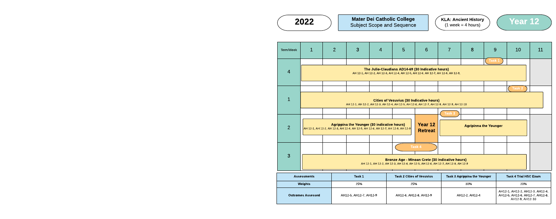



| <b>Assessments</b> | Task 1                 | <b>Task 2 Cities of Vesuvius</b> | <b>Task 3 Agrippina the Younger</b> | <b>Task 4 Trial HSC Exam</b>                                                          |
|--------------------|------------------------|----------------------------------|-------------------------------------|---------------------------------------------------------------------------------------|
| <b>Weights</b>     | 25%                    | 25%                              | 30%                                 | 20%                                                                                   |
| comes Assessed:    | AH12-5. AH12-7. AH12-9 | AH12-6, AH12-8, AH12-9           | AH12-2. AH12-4                      | AH12-1, AH12-2, AH12-3, AH12-4,<br>AH12-5, AH12-6, AH12-7, AH12-8,<br>AH12-9. AH12-10 |



**Outcomes Assessed** 

 $2022$  ) Mater Dei Catholic College  $(1 \text{ week} = 4 \text{ hours})$   $(1 \text{ week} = 4 \text{ hours})$   $(2 \text{ year } 12)$ Subject Scope and Sequence

| Term/Week      | $\mathbf{1}$                                                                                                                                        | $\overline{2}$                                                                                                                                         | 3 | $\overline{4}$ | 5 | 6                                                                                                                                     | $\overline{7}$ | 8 | 9                            | 10 | 11 |
|----------------|-----------------------------------------------------------------------------------------------------------------------------------------------------|--------------------------------------------------------------------------------------------------------------------------------------------------------|---|----------------|---|---------------------------------------------------------------------------------------------------------------------------------------|----------------|---|------------------------------|----|----|
| $\overline{4}$ |                                                                                                                                                     |                                                                                                                                                        |   |                |   | The Julio-Claudians AD14-69 (30 Indicative hours)<br>AH 12-1, AH 12-2, AH 12-3, AH 12-4, AH 12-5, AH 12-6, AH 12-7, AH 12-8, AH 12-9, |                |   | Task 1                       |    |    |
| 1              |                                                                                                                                                     | Task 2<br><b>Cities of Vesuvius (30 Indicative hours)</b><br>AH 12-1, AH 12-2, AH 12-3, AH 12-4, AH 12-5, AH 12-6, AH 12-7, AH 12-8, AH 12-9, AH 12-10 |   |                |   |                                                                                                                                       |                |   |                              |    |    |
| $\overline{2}$ | Agrippina the Younger (30 indicative hours)<br>AH 12-1, AH 12-2, AH 12-3, AH 12-4, AH 12-5, AH 12-6, AH 12-7, AH 12-8, AH 12-9                      |                                                                                                                                                        |   |                |   | Year 12<br><b>Retreat</b>                                                                                                             | Task 3         |   | <b>Agripinna the Younger</b> |    |    |
| 3              | Task 4<br><b>Bronze Age - Minoan Crete (30 indicative hours)</b><br>AH 12-1, AH 12-2, AH 12-3, AH 12-4, AH 12-5, AH 12-6, AH 12-7, AH 12-8, AH 12-9 |                                                                                                                                                        |   |                |   |                                                                                                                                       |                |   |                              |    |    |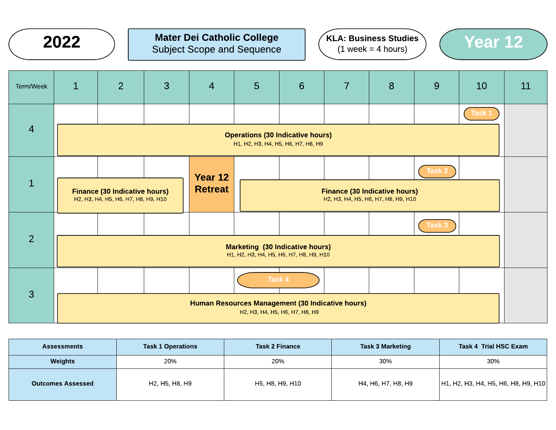# $2022$  ) Mater Dei Catholic College  $(3 \text{ weeks} = 4 \text{ hours})$   $(4 \text{ weeks} = 4 \text{ hours})$   $(5 \text{ years})$ Subject Scope and Sequence





| Term/Week      | $\mathbf{1}$                                                                                                                                                                              | 2 | 3                                                                                                                                                                            | $\overline{4}$ | $5\phantom{1}$ | 6      | $\overline{7}$ | 8 | 9      | 10     | 11 |
|----------------|-------------------------------------------------------------------------------------------------------------------------------------------------------------------------------------------|---|------------------------------------------------------------------------------------------------------------------------------------------------------------------------------|----------------|----------------|--------|----------------|---|--------|--------|----|
|                |                                                                                                                                                                                           |   |                                                                                                                                                                              |                |                |        |                |   |        | Task 1 |    |
| $\overline{4}$ | <b>Operations (30 Indicative hours)</b><br>H1, H2, H3, H4, H5, H6, H7, H8, H9                                                                                                             |   |                                                                                                                                                                              |                |                |        |                |   |        |        |    |
|                |                                                                                                                                                                                           |   |                                                                                                                                                                              | Year 12        |                |        |                |   | Task 2 |        |    |
| $\mathbf{1}$   |                                                                                                                                                                                           |   | <b>Retreat</b><br><b>Finance (30 Indicative hours)</b><br><b>Finance (30 Indicative hours)</b><br>H2, H3, H4, H5, H6, H7, H8, H9, H10<br>H2, H3, H4, H5, H6, H7, H8, H9, H10 |                |                |        |                |   |        |        |    |
|                |                                                                                                                                                                                           |   |                                                                                                                                                                              |                |                |        |                |   | Task 3 |        |    |
| $\overline{2}$ | <b>Marketing (30 Indicative hours)</b><br>H1, H2, H3, H4, H5, H6, H7, H8, H9, H10                                                                                                         |   |                                                                                                                                                                              |                |                |        |                |   |        |        |    |
|                |                                                                                                                                                                                           |   |                                                                                                                                                                              |                |                | Task 4 |                |   |        |        |    |
| $\overline{3}$ | Human Resources Management (30 Indicative hours)<br>H <sub>2</sub> , H <sub>3</sub> , H <sub>4</sub> , H <sub>5</sub> , H <sub>6</sub> , H <sub>7</sub> , H <sub>8</sub> , H <sub>9</sub> |   |                                                                                                                                                                              |                |                |        |                |   |        |        |    |

| <b>Assessments</b>       | <b>Task 1 Operations</b> | <b>Task 2 Finance</b> | <b>Task 3 Marketing</b> | Task 4 Trial HSC Exam               |
|--------------------------|--------------------------|-----------------------|-------------------------|-------------------------------------|
| Weights                  | 20%                      | 20%                   | 30%                     | 30%                                 |
| <b>Outcomes Assessed</b> | H2, H5, H8, H9           | H5, H8, H9, H10       | H4, H6, H7, H8, H9      | H1, H2, H3, H4, H5, H6, H8, H9, H10 |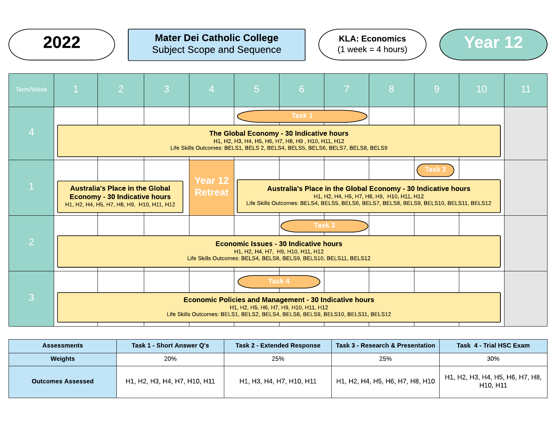

# $2022$  ) Mater Dei Catholic College  $(2022)$  Subject Scope and Sequence  $(1 \text{ week} = 4 \text{ hours})$   $(1 \text{ week} = 4 \text{ hours})$ Subject Scope and Sequence





| Task 1<br>$\overline{4}$<br>The Global Economy - 30 Indicative hours<br>H1, H2, H3, H4, H5, H6, H7, H8, H9, H10, H11, H12<br>Life Skills Outcomes: BELS1, BELS 2, BELS4, BELS5, BELS6, BELS7, BELS8, BELS9<br>Task 2<br>Year 12<br><b>Australia's Place in the Global</b><br>Australia's Place in the Global Economy - 30 Indicative hours<br><b>Retreat</b><br>H1, H2, H4, H5, H7, H8, H9, H10, H11, H12<br><b>Economy - 30 Indicative hours</b><br>Life Skills Outcomes: BELS4, BELS5, BELS6, BELS7, BELS8, BELS9, BELS10, BELS11, BELS12<br>H1, H2, H4, H5, H7, H8, H9, H10, H11, H12<br>Task 3<br>$\overline{2}$<br><b>Economic Issues - 30 Indicative hours</b><br>H1, H2, H4, H7, H9, H10, H11, H12<br>Life Skills Outcomes: BELS4, BELS8, BELS9, BELS10, BELS11, BELS12<br><b>Task 4</b> | Term/Week | $\mathbf{1}$ | $\overline{2}$ | 3 | $\overline{4}$ | $5\overline{)}$ | 6 | 7 | 8 | 9 | 10 | <b>11</b> |
|-------------------------------------------------------------------------------------------------------------------------------------------------------------------------------------------------------------------------------------------------------------------------------------------------------------------------------------------------------------------------------------------------------------------------------------------------------------------------------------------------------------------------------------------------------------------------------------------------------------------------------------------------------------------------------------------------------------------------------------------------------------------------------------------------|-----------|--------------|----------------|---|----------------|-----------------|---|---|---|---|----|-----------|
|                                                                                                                                                                                                                                                                                                                                                                                                                                                                                                                                                                                                                                                                                                                                                                                                 |           |              |                |   |                |                 |   |   |   |   |    |           |
|                                                                                                                                                                                                                                                                                                                                                                                                                                                                                                                                                                                                                                                                                                                                                                                                 |           |              |                |   |                |                 |   |   |   |   |    |           |
|                                                                                                                                                                                                                                                                                                                                                                                                                                                                                                                                                                                                                                                                                                                                                                                                 |           |              |                |   |                |                 |   |   |   |   |    |           |
|                                                                                                                                                                                                                                                                                                                                                                                                                                                                                                                                                                                                                                                                                                                                                                                                 |           |              |                |   |                |                 |   |   |   |   |    |           |
|                                                                                                                                                                                                                                                                                                                                                                                                                                                                                                                                                                                                                                                                                                                                                                                                 |           |              |                |   |                |                 |   |   |   |   |    |           |
|                                                                                                                                                                                                                                                                                                                                                                                                                                                                                                                                                                                                                                                                                                                                                                                                 |           |              |                |   |                |                 |   |   |   |   |    |           |
|                                                                                                                                                                                                                                                                                                                                                                                                                                                                                                                                                                                                                                                                                                                                                                                                 |           |              |                |   |                |                 |   |   |   |   |    |           |
| 3<br><b>Economic Policies and Management - 30 Indicative hours</b><br>H1, H2, H5, H6, H7, H9, H10, H11, H12<br>Life Skills Outcomes: BELS1, BELS2, BELS4, BELS8, BELS9, BELS10, BELS11, BELS12                                                                                                                                                                                                                                                                                                                                                                                                                                                                                                                                                                                                  |           |              |                |   |                |                 |   |   |   |   |    |           |

| <b>Assessments</b>       | Task 1 - Short Answer Q's    | <b>Task 2 - Extended Response</b> | Task 3 - Research & Presentation     | Task 4 - Trial HSC Exam                     |  |
|--------------------------|------------------------------|-----------------------------------|--------------------------------------|---------------------------------------------|--|
| <b>Weights</b>           | 20%<br>25%                   |                                   | 25%                                  | 30%                                         |  |
| <b>Outcomes Assessed</b> | H1, H2, H3, H4, H7, H10, H11 | H1, H3, H4, H7, H10, H11          | $^+$ H1, H2, H4, H5, H6, H7, H8, H10 | H1, H2, H3, H4, H5, H6, H7, H8,<br>H10, H11 |  |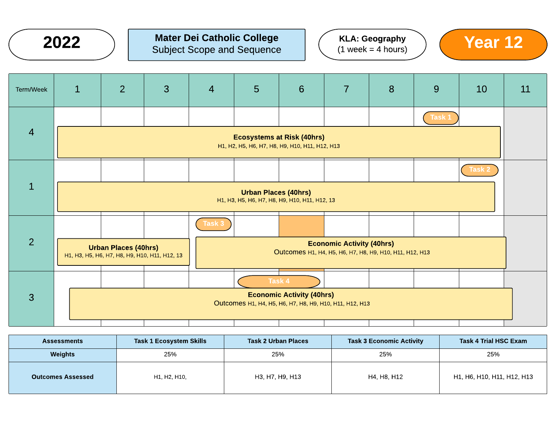

# $2022$  ) Mater Dei Catholic College  $(2022)$  Subject Scope and Sequence  $(1 \text{ week} = 4 \text{ hours})$  (Year 12) Subject Scope and Sequence

KLA: Geography  $(1 \text{ week} = 4 \text{ hours})$ 



| Term/Week      | $\mathbf{1}$                                                                                | $\overline{2}$                                                               | $\mathbf{3}$ | $\overline{4}$                                                                              | 5 | 6      | $\overline{7}$ | 8 | 9      | 10     | 11 |
|----------------|---------------------------------------------------------------------------------------------|------------------------------------------------------------------------------|--------------|---------------------------------------------------------------------------------------------|---|--------|----------------|---|--------|--------|----|
|                |                                                                                             |                                                                              |              |                                                                                             |   |        |                |   | Task 1 |        |    |
| $\overline{4}$ | <b>Ecosystems at Risk (40hrs)</b><br>H1, H2, H5, H6, H7, H8, H9, H10, H11, H12, H13         |                                                                              |              |                                                                                             |   |        |                |   |        |        |    |
|                |                                                                                             |                                                                              |              |                                                                                             |   |        |                |   |        | Task 2 |    |
| $\mathbf{1}$   | <b>Urban Places (40hrs)</b><br>H1, H3, H5, H6, H7, H8, H9, H10, H11, H12, 13                |                                                                              |              |                                                                                             |   |        |                |   |        |        |    |
|                |                                                                                             |                                                                              |              | Task 3                                                                                      |   |        |                |   |        |        |    |
| $\overline{2}$ |                                                                                             | <b>Urban Places (40hrs)</b><br>H1, H3, H5, H6, H7, H8, H9, H10, H11, H12, 13 |              | <b>Economic Activity (40hrs)</b><br>Outcomes H1, H4, H5, H6, H7, H8, H9, H10, H11, H12, H13 |   |        |                |   |        |        |    |
|                |                                                                                             |                                                                              |              |                                                                                             |   | Task 4 |                |   |        |        |    |
| $\overline{3}$ | <b>Economic Activity (40hrs)</b><br>Outcomes H1, H4, H5, H6, H7, H8, H9, H10, H11, H12, H13 |                                                                              |              |                                                                                             |   |        |                |   |        |        |    |

| <b>Assessments</b>       | <b>Task 1 Ecosystem Skills</b> | <b>Task 2 Urban Places</b> | <b>Task 3 Economic Activity</b> | Task 4 Trial HSC Exam      |
|--------------------------|--------------------------------|----------------------------|---------------------------------|----------------------------|
| Weights                  | 25%                            | 25%                        | 25%                             | 25%                        |
| <b>Outcomes Assessed</b> | H1, H2, H10,                   | H3, H7, H9, H13            | H4, H8, H12                     | H1, H6, H10, H11, H12, H13 |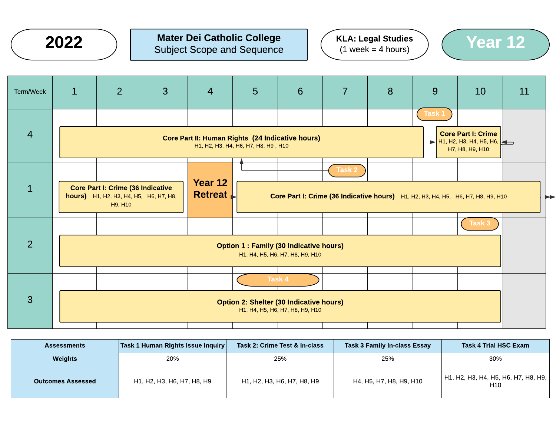

# $2022$  ) Mater Dei Catholic College  $(1 \text{ week} = 4 \text{ hours})$   $(1 \text{ week} = 4 \text{ hours})$   $(1 \text{ week} = 4 \text{ hours})$ Subject Scope and Sequence





| Term/Week      | $\mathbf 1$                                                                                 | $\overline{2}$                                                                                       | 3 | $\overline{4}$        | 5                                                                                       | 6 | $\overline{7}$ | 8                                                                                | 9      | 10                                                                                            | 11 |
|----------------|---------------------------------------------------------------------------------------------|------------------------------------------------------------------------------------------------------|---|-----------------------|-----------------------------------------------------------------------------------------|---|----------------|----------------------------------------------------------------------------------|--------|-----------------------------------------------------------------------------------------------|----|
| $\overline{4}$ |                                                                                             |                                                                                                      |   |                       | Core Part II: Human Rights (24 Indicative hours)<br>H1, H2, H3. H4, H6, H7, H8, H9, H10 |   |                |                                                                                  | Task 1 | <b>Core Part I: Crime</b><br>$\blacktriangleright$ H1, H2, H3, H4, H5, H6,<br>H7, H8, H9, H10 |    |
| $\mathbf{1}$   |                                                                                             | <b>Core Part I: Crime (36 Indicative</b><br><b>hours)</b> H1, H2, H3, H4, H5, H6, H7, H8,<br>H9, H10 |   | Year 12<br>$R$ etreat |                                                                                         |   | <b>Task 2</b>  | Core Part I: Crime (36 Indicative hours) H1, H2, H3, H4, H5, H6, H7, H8, H9, H10 |        |                                                                                               |    |
| $\overline{2}$ | Task 3<br><b>Option 1: Family (30 Indicative hours)</b><br>H1, H4, H5, H6, H7, H8, H9, H10  |                                                                                                      |   |                       |                                                                                         |   |                |                                                                                  |        |                                                                                               |    |
| 3              | Task 4<br><b>Option 2: Shelter (30 Indicative hours)</b><br>H1, H4, H5, H6, H7, H8, H9, H10 |                                                                                                      |   |                       |                                                                                         |   |                |                                                                                  |        |                                                                                               |    |

| <b>Assessments</b>       | $ \textsf{Task 1}$ Human Rights Issue Inquiry $ \;$ | Task 2: Crime Test & In-class | Task 3 Family In-class Essay | <b>Task 4 Trial HSC Exam</b>               |
|--------------------------|-----------------------------------------------------|-------------------------------|------------------------------|--------------------------------------------|
| <b>Weights</b>           | 20%                                                 | 25%                           | 25%                          | 30%                                        |
| <b>Outcomes Assessed</b> | H1, H2, H3, H6, H7, H8, H9                          | H1, H2, H3, H6, H7, H8, H9    | H4, H5, H7, H8, H9, H10      | H1, H2, H3, H4, H5, H6, H7, H8, H9,<br>H10 |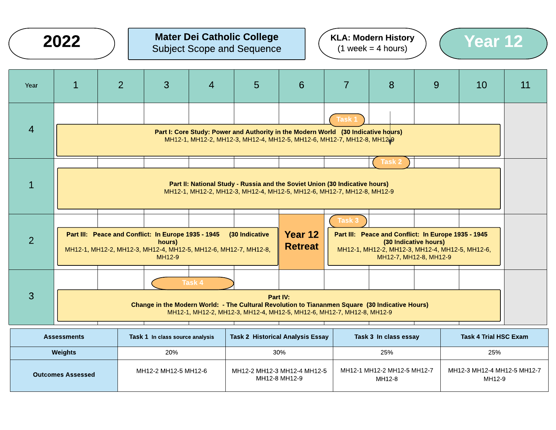# $2022$  ) Mater Dei Catholic College  $(1 \text{ week} = 4 \text{ hours})$  (Year 12) Subject Scope and Sequence



| <b>Task 1</b><br>$\overline{4}$                                                                                                                                                                       |                                                                                                                                                                             |                                                                                   |  |  |  |  |  |  |  |
|-------------------------------------------------------------------------------------------------------------------------------------------------------------------------------------------------------|-----------------------------------------------------------------------------------------------------------------------------------------------------------------------------|-----------------------------------------------------------------------------------|--|--|--|--|--|--|--|
|                                                                                                                                                                                                       |                                                                                                                                                                             |                                                                                   |  |  |  |  |  |  |  |
| MH12-1, MH12-2, MH12-3, MH12-4, MH12-5, MH12-6, MH12-7, MH12-8, MH12 <sup>1</sup> 9                                                                                                                   |                                                                                                                                                                             | Part I: Core Study: Power and Authority in the Modern World (30 Indicative hours) |  |  |  |  |  |  |  |
| <b>Task 2</b>                                                                                                                                                                                         |                                                                                                                                                                             |                                                                                   |  |  |  |  |  |  |  |
| $\mathbf 1$<br>Part II: National Study - Russia and the Soviet Union (30 Indicative hours)<br>MH12-1, MH12-2, MH12-3, MH12-4, MH12-5, MH12-6, MH12-7, MH12-8, MH12-9                                  |                                                                                                                                                                             |                                                                                   |  |  |  |  |  |  |  |
| Task 3                                                                                                                                                                                                |                                                                                                                                                                             |                                                                                   |  |  |  |  |  |  |  |
| Part III: Peace and Conflict: In Europe 1935 - 1945<br>(30 Indicative<br>$\overline{2}$<br>hours)<br><b>Retreat</b><br>MH12-1, MH12-2, MH12-3, MH12-4, MH12-5, MH12-6, MH12-7, MH12-8,<br>MH12-9      | <b>Year 12</b><br>Part III: Peace and Conflict: In Europe 1935 - 1945<br>(30 Indicative hours)<br>MH12-1, MH12-2, MH12-3, MH12-4, MH12-5, MH12-6,<br>MH12-7, MH12-8, MH12-9 |                                                                                   |  |  |  |  |  |  |  |
| Task 4                                                                                                                                                                                                |                                                                                                                                                                             |                                                                                   |  |  |  |  |  |  |  |
| $\mathbf{3}$<br>Part IV:<br>Change in the Modern World: - The Cultural Revolution to Tiananmen Square (30 Indicative Hours)<br>MH12-1, MH12-2, MH12-3, MH12-4, MH12-5, MH12-6, MH12-7, MH12-8, MH12-9 |                                                                                                                                                                             |                                                                                   |  |  |  |  |  |  |  |

| <b>Assessments</b>       | Task 1 In class source analysis | <b>Task 2 Historical Analysis Essay</b>      | Task 3 In class essay                 | <b>Task 4 Trial HSC Exam</b>          |  |
|--------------------------|---------------------------------|----------------------------------------------|---------------------------------------|---------------------------------------|--|
| Weights                  | 20%                             | 30%                                          | 25%                                   | 25%                                   |  |
| <b>Outcomes Assessed</b> | MH12-2 MH12-5 MH12-6            | MH12-2 MH12-3 MH12-4 MH12-5<br>MH12-8 MH12-9 | MH12-1 MH12-2 MH12-5 MH12-7<br>MH12-8 | MH12-3 MH12-4 MH12-5 MH12-7<br>MH12-9 |  |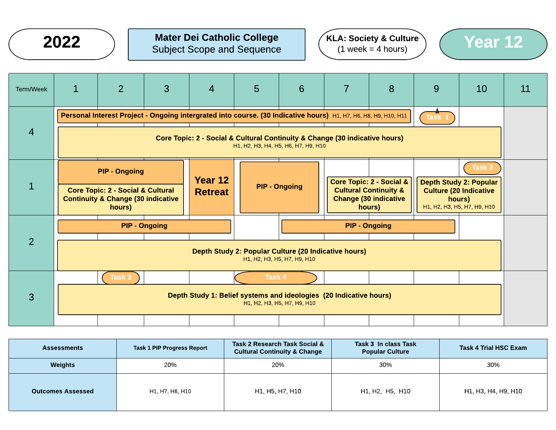

# $2022$  ) Mater Dei Catholic College  $(3 \text{ weeks} = 4 \text{ hours})$   $(4 \text{ weeks} = 4 \text{ hours})$   $(5 \text{ years})$ Subject Scope and Sequence





| Term/Week      | $\mathbf{1}$                                                                                                       | $\overline{2}$                                                                                                            | 3                    | $\overline{4}$ | 5      | 6                    | $\overline{7}$ | 8                                                                                                                 | 9 | 10                                                                                                      | 11 |
|----------------|--------------------------------------------------------------------------------------------------------------------|---------------------------------------------------------------------------------------------------------------------------|----------------------|----------------|--------|----------------------|----------------|-------------------------------------------------------------------------------------------------------------------|---|---------------------------------------------------------------------------------------------------------|----|
|                |                                                                                                                    | Personal Interest Project - Ongoing intergrated into course. (30 Indicative hours) H1, H7, H6, H8, H9, H10, H11<br>Task 1 |                      |                |        |                      |                |                                                                                                                   |   |                                                                                                         |    |
| $\overline{4}$ | Core Topic: 2 - Social & Cultural Continuity & Change (30 indicative hours)<br>H1, H2, H3, H4, H5, H6, H7, H9, H10 |                                                                                                                           |                      |                |        |                      |                |                                                                                                                   |   |                                                                                                         |    |
|                |                                                                                                                    | <b>PIP - Ongoing</b>                                                                                                      |                      | Year 12        |        |                      |                |                                                                                                                   |   | Task 2                                                                                                  |    |
|                |                                                                                                                    | <b>Core Topic: 2 - Social &amp; Cultural</b><br><b>Continuity &amp; Change (30 indicative</b><br>hours)                   |                      | <b>Retreat</b> |        | <b>PIP - Ongoing</b> |                | <b>Core Topic: 2 - Social &amp;</b><br><b>Cultural Continuity &amp;</b><br><b>Change (30 indicative</b><br>hours) |   | <b>Depth Study 2: Popular</b><br><b>Culture (20 Indicative</b><br>hours)<br>H1, H2, H3, H5, H7, H9, H10 |    |
|                |                                                                                                                    |                                                                                                                           | <b>PIP - Ongoing</b> |                |        |                      |                | <b>PIP - Ongoing</b>                                                                                              |   |                                                                                                         |    |
| $\overline{2}$ | Depth Study 2: Popular Culture (20 Indicative hours)<br>H1, H2, H3, H5, H7, H9, H10                                |                                                                                                                           |                      |                |        |                      |                |                                                                                                                   |   |                                                                                                         |    |
|                |                                                                                                                    | Task 3                                                                                                                    |                      |                | Task 4 |                      |                |                                                                                                                   |   |                                                                                                         |    |
| 3              | Depth Study 1: Belief systems and ideologies (20 Indicative hours)<br>H1, H2, H3, H5, H7, H9, H10                  |                                                                                                                           |                      |                |        |                      |                |                                                                                                                   |   |                                                                                                         |    |
|                |                                                                                                                    |                                                                                                                           |                      |                |        |                      |                |                                                                                                                   |   |                                                                                                         |    |

| <b>Assessments</b>       | <b>Task 1 PIP Progress Report</b> | Task 2 Research Task Social &<br><b>Cultural Continuity &amp; Change</b> | Task 3 In class Task<br><b>Popular Culture</b> | Task 4 Trial HSC Exam |
|--------------------------|-----------------------------------|--------------------------------------------------------------------------|------------------------------------------------|-----------------------|
| Weights                  | 20%                               | 20%                                                                      | 30%                                            | 30%                   |
| <b>Outcomes Assessed</b> | H1, H7, H8, H10                   | H1, H5, H7, H10                                                          | H1, H2, H5, H10                                | H1, H3, H4, H9, H10   |